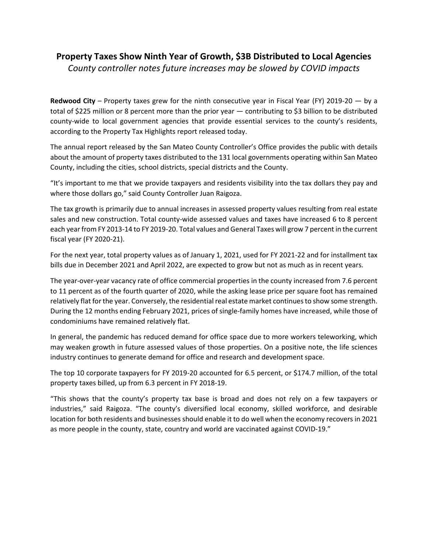## **Property Taxes Show Ninth Year of Growth, \$3B Distributed to Local Agencies**

*County controller notes future increases may be slowed by COVID impacts*

**Redwood City** – Property taxes grew for the ninth consecutive year in Fiscal Year (FY) 2019-20 — by a total of \$225 million or 8 percent more than the prior year — contributing to \$3 billion to be distributed county-wide to local government agencies that provide essential services to the county's residents, according to the Property Tax Highlights report released today.

The annual report released by the San Mateo County Controller's Office provides the public with details about the amount of property taxes distributed to the 131 local governments operating within San Mateo County, including the cities, school districts, special districts and the County.

"It's important to me that we provide taxpayers and residents visibility into the tax dollars they pay and where those dollars go," said County Controller Juan Raigoza.

The tax growth is primarily due to annual increases in assessed property values resulting from real estate sales and new construction. Total county-wide assessed values and taxes have increased 6 to 8 percent each year from FY 2013-14 to FY 2019-20. Total values and General Taxes will grow 7 percent in the current fiscal year (FY 2020-21).

For the next year, total property values as of January 1, 2021, used for FY 2021-22 and for installment tax bills due in December 2021 and April 2022, are expected to grow but not as much as in recent years.

The year-over-year vacancy rate of office commercial properties in the county increased from 7.6 percent to 11 percent as of the fourth quarter of 2020, while the asking lease price per square foot has remained relatively flat for the year. Conversely, the residential real estate market continues to show some strength. During the 12 months ending February 2021, prices of single-family homes have increased, while those of condominiums have remained relatively flat.

In general, the pandemic has reduced demand for office space due to more workers teleworking, which may weaken growth in future assessed values of those properties. On a positive note, the life sciences industry continues to generate demand for office and research and development space.

The top 10 corporate taxpayers for FY 2019-20 accounted for 6.5 percent, or \$174.7 million, of the total property taxes billed, up from 6.3 percent in FY 2018-19.

"This shows that the county's property tax base is broad and does not rely on a few taxpayers or industries," said Raigoza. "The county's diversified local economy, skilled workforce, and desirable location for both residents and businesses should enable it to do well when the economy recovers in 2021 as more people in the county, state, country and world are vaccinated against COVID-19."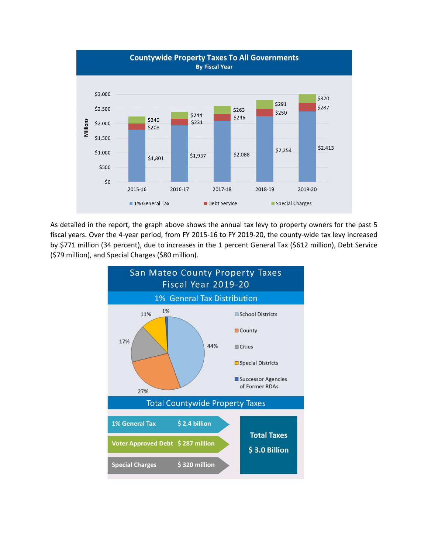

As detailed in the report, the graph above shows the annual tax levy to property owners for the past 5 fiscal years. Over the 4-year period, from FY 2015-16 to FY 2019-20, the county-wide tax levy increased by \$771 million (34 percent), due to increases in the 1 percent General Tax (\$612 million), Debt Service (\$79 million), and Special Charges (\$80 million).